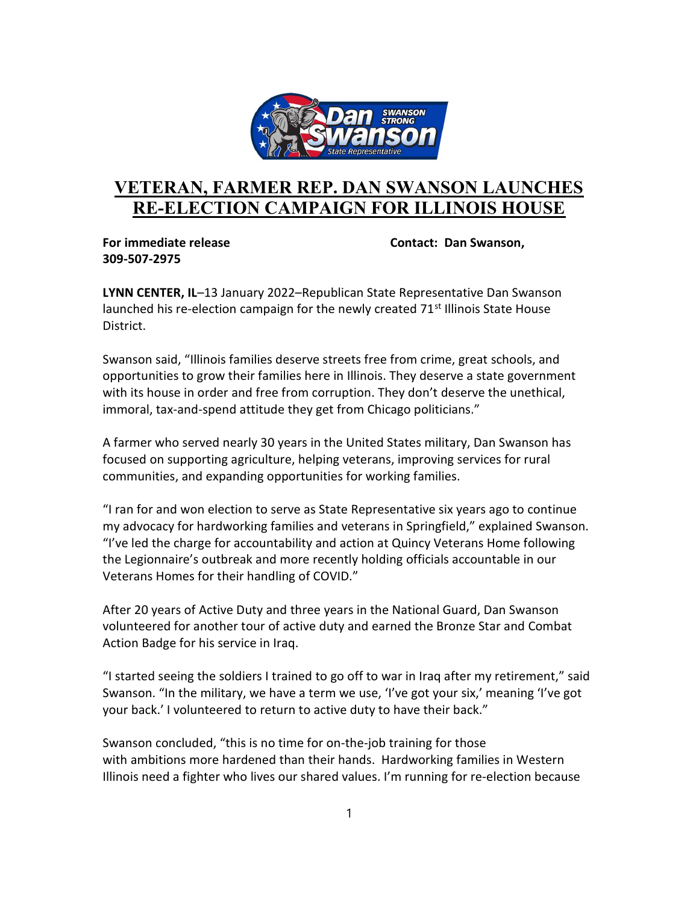

## VETERAN, FARMER REP. DAN SWANSON LAUNCHES RE-ELECTION CAMPAIGN FOR ILLINOIS HOUSE

309-507-2975

For immediate release Contact: Dan Swanson,

LYNN CENTER, IL–13 January 2022–Republican State Representative Dan Swanson launched his re-election campaign for the newly created  $71<sup>st</sup>$  Illinois State House District.

Swanson said, "Illinois families deserve streets free from crime, great schools, and opportunities to grow their families here in Illinois. They deserve a state government with its house in order and free from corruption. They don't deserve the unethical, immoral, tax-and-spend attitude they get from Chicago politicians."

A farmer who served nearly 30 years in the United States military, Dan Swanson has focused on supporting agriculture, helping veterans, improving services for rural communities, and expanding opportunities for working families.

"I ran for and won election to serve as State Representative six years ago to continue my advocacy for hardworking families and veterans in Springfield," explained Swanson. "I've led the charge for accountability and action at Quincy Veterans Home following the Legionnaire's outbreak and more recently holding officials accountable in our Veterans Homes for their handling of COVID."

After 20 years of Active Duty and three years in the National Guard, Dan Swanson volunteered for another tour of active duty and earned the Bronze Star and Combat Action Badge for his service in Iraq.

"I started seeing the soldiers I trained to go off to war in Iraq after my retirement," said Swanson. "In the military, we have a term we use, 'I've got your six,' meaning 'I've got your back.' I volunteered to return to active duty to have their back."

Swanson concluded, "this is no time for on-the-job training for those with ambitions more hardened than their hands. Hardworking families in Western Illinois need a fighter who lives our shared values. I'm running for re-election because